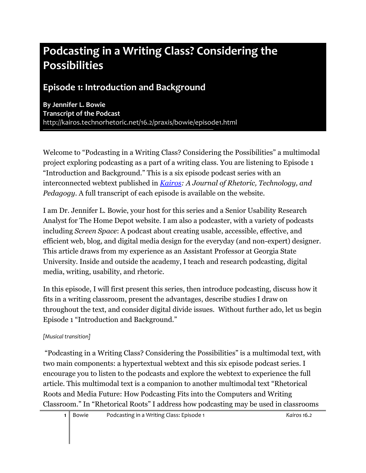# **Podcasting in a Writing Class? Considering the Possibilities**

### **Episode 1: Introduction and Background**

**By Jennifer L. Bowie Transcript of the Podcast** [http://kairos.technorhetoric.net/16.2/praxis/bowie/](http://kairos.technorhetoric.net/16.2/praxis/bowie)episode1.html

Welcome to "Podcasting in a Writing Class? Considering the Possibilities" a multimodal project exploring podcasting as a part of a writing class. You are listening to Episode 1 "Introduction and Background." This is a six episode podcast series with an interconnected webtext published in *[Kairos:](http://kairos.technorhetoric.net/) A Journal of Rhetoric, Technology, and Pedagogy*. A full transcript of each episode is available on the website.

I am Dr. Jennifer L. Bowie, your host for this series and a Senior Usability Research Analyst for The Home Depot website. I am also a podcaster, with a variety of podcasts including *Screen Space*: A podcast about creating usable, accessible, effective, and efficient web, blog, and digital media design for the everyday (and non-expert) designer. This article draws from my experience as an Assistant Professor at Georgia State University. Inside and outside the academy, I teach and research podcasting, digital media, writing, usability, and rhetoric.

In this episode, I will first present this series, then introduce podcasting, discuss how it fits in a writing classroom, present the advantages, describe studies I draw on throughout the text, and consider digital divide issues. Without further ado, let us begin Episode 1 "Introduction and Background."

#### *[Musical transition]*

"Podcasting in a Writing Class? Considering the Possibilities" is a multimodal text, with two main components: a hypertextual webtext and this six episode podcast series. I encourage you to listen to the podcasts and explore the webtext to experience the full article. This multimodal text is a companion to another multimodal text "Rhetorical Roots and Media Future: How Podcasting Fits into the Computers and Writing Classroom." In "Rhetorical Roots" I address how podcasting may be used in classrooms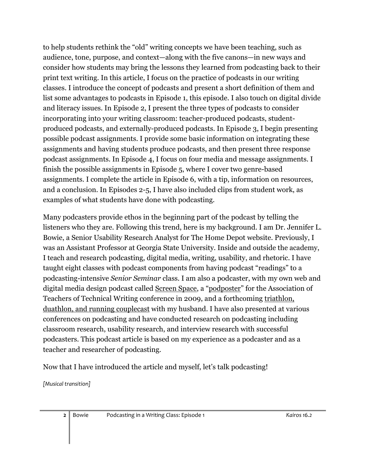to help students rethink the "old" writing concepts we have been teaching, such as audience, tone, purpose, and context—along with the five canons—in new ways and consider how students may bring the lessons they learned from podcasting back to their print text writing. In this article, I focus on the practice of podcasts in our writing classes. I introduce the concept of podcasts and present a short definition of them and list some advantages to podcasts in Episode 1, this episode. I also touch on digital divide and literacy issues. In Episode 2, I present the three types of podcasts to consider incorporating into your writing classroom: teacher-produced podcasts, studentproduced podcasts, and externally-produced podcasts. In Episode 3, I begin presenting possible podcast assignments. I provide some basic information on integrating these assignments and having students produce podcasts, and then present three response podcast assignments. In Episode 4, I focus on four media and message assignments. I finish the possible assignments in Episode 5, where I cover two genre-based assignments. I complete the article in Episode 6, with a tip, information on resources, and a conclusion. In Episodes 2-5, I have also included clips from student work, as examples of what students have done with podcasting.

Many podcasters provide ethos in the beginning part of the podcast by telling the listeners who they are. Following this trend, here is my background. I am Dr. Jennifer L. Bowie, a Senior Usability Research Analyst for The Home Depot website. Previously, I was an Assistant Professor at Georgia State University. Inside and outside the academy, I teach and research podcasting, digital media, writing, usability, and rhetoric. I have taught eight classes with podcast components from having podcast "readings" to a podcasting-intensive *Senior Seminar* class. I am also a podcaster, with my own web and digital media design podcast called [Screen Space](http://www.screenspace.org/), a "[podposter](http://www.screenspace.org/Podposter.html)" for the Association of Teachers of Technical Writing conference in 2009, and a forthcoming [triathlon,](http://amateurmultisport.com/)  [duathlon, and running couplecast](http://amateurmultisport.com/) with my husband. I have also presented at various conferences on podcasting and have conducted research on podcasting including classroom research, usability research, and interview research with successful podcasters. This podcast article is based on my experience as a podcaster and as a teacher and researcher of podcasting.

Now that I have introduced the article and myself, let's talk podcasting!

*[Musical transition]*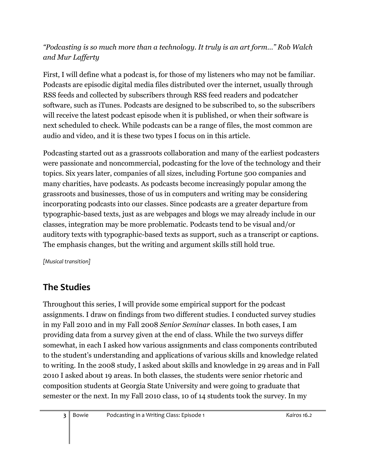#### *"Podcasting is so much more than a technology. It truly is an art form…" Rob Walch and Mur Lafferty*

First, I will define what a podcast is, for those of my listeners who may not be familiar. Podcasts are episodic digital media files distributed over the internet, usually through RSS feeds and collected by subscribers through RSS feed readers and podcatcher software, such as iTunes. Podcasts are designed to be subscribed to, so the subscribers will receive the latest podcast episode when it is published, or when their software is next scheduled to check. While podcasts can be a range of files, the most common are audio and video, and it is these two types I focus on in this article.

Podcasting started out as a grassroots collaboration and many of the earliest podcasters were passionate and noncommercial, podcasting for the love of the technology and their topics. Six years later, companies of all sizes, including Fortune 500 companies and many charities, have podcasts. As podcasts become increasingly popular among the grassroots and businesses, those of us in computers and writing may be considering incorporating podcasts into our classes. Since podcasts are a greater departure from typographic-based texts, just as are webpages and blogs we may already include in our classes, integration may be more problematic. Podcasts tend to be visual and/or auditory texts with typographic-based texts as support, such as a transcript or captions. The emphasis changes, but the writing and argument skills still hold true.

*[Musical transition]*

### **The Studies**

Throughout this series, I will provide some empirical support for the podcast assignments. I draw on findings from two different studies. I conducted survey studies in my Fall 2010 and in my Fall 2008 *Senior Seminar* classes. In both cases, I am providing data from a survey given at the end of class. While the two surveys differ somewhat, in each I asked how various assignments and class components contributed to the student's understanding and applications of various skills and knowledge related to writing. In the 2008 study, I asked about skills and knowledge in 29 areas and in Fall 2010 I asked about 19 areas. In both classes, the students were senior rhetoric and composition students at Georgia State University and were going to graduate that semester or the next. In my Fall 2010 class, 10 of 14 students took the survey. In my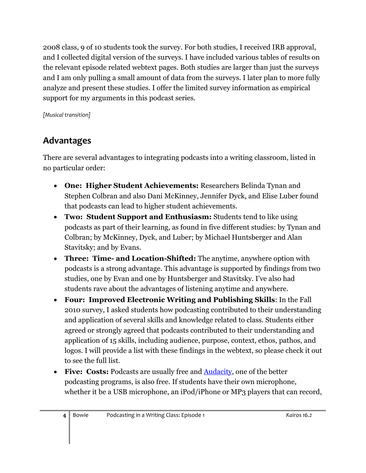2008 class, 9 of 10 students took the survey. For both studies, I received IRB approval, and I collected digital version of the surveys. I have included various tables of results on the relevant episode related webtext pages. Both studies are larger than just the surveys and I am only pulling a small amount of data from the surveys. I later plan to more fully analyze and present these studies. I offer the limited survey information as empirical support for my arguments in this podcast series.

*[Musical transition]*

# **Advantages**

There are several advantages to integrating podcasts into a writing classroom, listed in no particular order:

- **One: Higher Student Achievements:** Researchers Belinda Tynan and Stephen Colbran and also Dani McKinney, Jennifer Dyck, and Elise Luber found that podcasts can lead to higher student achievements.
- **Two: Student Support and Enthusiasm:** Students tend to like using podcasts as part of their learning, as found in five different studies: by Tynan and Colbran; by McKinney, Dyck, and Luber; by Michael Huntsberger and Alan Stavitsky; and by Evans.
- **Three: Time- and Location-Shifted:** The anytime, anywhere option with podcasts is a strong advantage. This advantage is supported by findings from two studies, one by Evan and one by Huntsberger and Stavitsky. I've also had students rave about the advantages of listening anytime and anywhere.
- **Four: Improved Electronic Writing and Publishing Skills**: In the Fall 2010 survey, I asked students how podcasting contributed to their understanding and application of several skills and knowledge related to class. Students either agreed or strongly agreed that podcasts contributed to their understanding and application of 15 skills, including audience, purpose, context, ethos, pathos, and logos. I will provide a list with these findings in the webtext, so please check it out to see the full list.
- **Five: Costs:** Podcasts are usually free and [Audacity,](http://audacity.sourceforge.net/) one of the better podcasting programs, is also free. If students have their own microphone, whether it be a USB microphone, an iPod/iPhone or MP3 players that can record,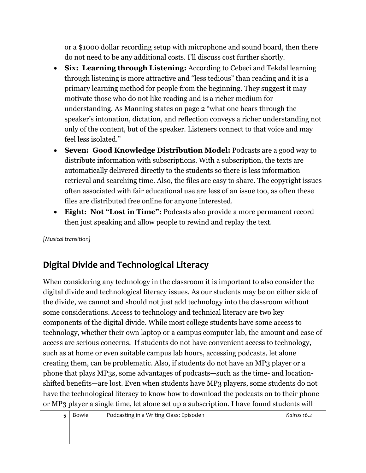or a \$1000 dollar recording setup with microphone and sound board, then there do not need to be any additional costs. I'll discuss cost further shortly.

- **Six: Learning through Listening:** According to Cebeci and Tekdal learning through listening is more attractive and "less tedious" than reading and it is a primary learning method for people from the beginning. They suggest it may motivate those who do not like reading and is a richer medium for understanding. As Manning states on page 2 "what one hears through the speaker's intonation, dictation, and reflection conveys a richer understanding not only of the content, but of the speaker. Listeners connect to that voice and may feel less isolated."
- **Seven: Good Knowledge Distribution Model:** Podcasts are a good way to distribute information with subscriptions. With a subscription, the texts are automatically delivered directly to the students so there is less information retrieval and searching time. Also, the files are easy to share. The copyright issues often associated with fair educational use are less of an issue too, as often these files are distributed free online for anyone interested.
- **Eight: Not "Lost in Time":** Podcasts also provide a more permanent record then just speaking and allow people to rewind and replay the text.

*[Musical transition]*

# **Digital Divide and Technological Literacy**

When considering any technology in the classroom it is important to also consider the digital divide and technological literacy issues. As our students may be on either side of the divide, we cannot and should not just add technology into the classroom without some considerations. Access to technology and technical literacy are two key components of the digital divide. While most college students have some access to technology, whether their own laptop or a campus computer lab, the amount and ease of access are serious concerns. If students do not have convenient access to technology, such as at home or even suitable campus lab hours, accessing podcasts, let alone creating them, can be problematic. Also, if students do not have an MP3 player or a phone that plays MP3s, some advantages of podcasts—such as the time- and locationshifted benefits—are lost. Even when students have MP3 players, some students do not have the technological literacy to know how to download the podcasts on to their phone or MP3 player a single time, let alone set up a subscription. I have found students will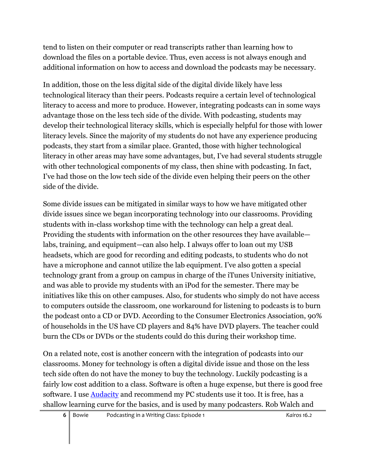tend to listen on their computer or read transcripts rather than learning how to download the files on a portable device. Thus, even access is not always enough and additional information on how to access and download the podcasts may be necessary.

In addition, those on the less digital side of the digital divide likely have less technological literacy than their peers. Podcasts require a certain level of technological literacy to access and more to produce. However, integrating podcasts can in some ways advantage those on the less tech side of the divide. With podcasting, students may develop their technological literacy skills, which is especially helpful for those with lower literacy levels. Since the majority of my students do not have any experience producing podcasts, they start from a similar place. Granted, those with higher technological literacy in other areas may have some advantages, but, I've had several students struggle with other technological components of my class, then shine with podcasting. In fact, I've had those on the low tech side of the divide even helping their peers on the other side of the divide.

Some divide issues can be mitigated in similar ways to how we have mitigated other divide issues since we began incorporating technology into our classrooms. Providing students with in-class workshop time with the technology can help a great deal. Providing the students with information on the other resources they have available labs, training, and equipment—can also help. I always offer to loan out my USB headsets, which are good for recording and editing podcasts, to students who do not have a microphone and cannot utilize the lab equipment. I've also gotten a special technology grant from a group on campus in charge of the iTunes University initiative, and was able to provide my students with an iPod for the semester. There may be initiatives like this on other campuses. Also, for students who simply do not have access to computers outside the classroom, one workaround for listening to podcasts is to burn the podcast onto a CD or DVD. According to the Consumer Electronics Association, 90% of households in the US have CD players and 84% have DVD players. The teacher could burn the CDs or DVDs or the students could do this during their workshop time.

On a related note, cost is another concern with the integration of podcasts into our classrooms. Money for technology is often a digital divide issue and those on the less tech side often do not have the money to buy the technology. Luckily podcasting is a fairly low cost addition to a class. Software is often a huge expense, but there is good free software. I use [Audacity](http://audacity.sourceforge.net/) and recommend my PC students use it too. It is free, has a shallow learning curve for the basics, and is used by many podcasters. Rob Walch and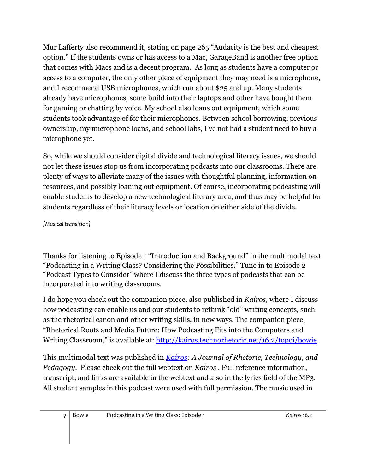Mur Lafferty also recommend it, stating on page 265 "Audacity is the best and cheapest option." If the students owns or has access to a Mac, GarageBand is another free option that comes with Macs and is a decent program. As long as students have a computer or access to a computer, the only other piece of equipment they may need is a microphone, and I recommend USB microphones, which run about \$25 and up. Many students already have microphones, some build into their laptops and other have bought them for gaming or chatting by voice. My school also loans out equipment, which some students took advantage of for their microphones. Between school borrowing, previous ownership, my microphone loans, and school labs, I've not had a student need to buy a microphone yet.

So, while we should consider digital divide and technological literacy issues, we should not let these issues stop us from incorporating podcasts into our classrooms. There are plenty of ways to alleviate many of the issues with thoughtful planning, information on resources, and possibly loaning out equipment. Of course, incorporating podcasting will enable students to develop a new technological literary area, and thus may be helpful for students regardless of their literacy levels or location on either side of the divide.

#### *[Musical transition]*

Thanks for listening to Episode 1 "Introduction and Background" in the multimodal text "Podcasting in a Writing Class? Considering the Possibilities." Tune in to Episode 2 "Podcast Types to Consider" where I discuss the three types of podcasts that can be incorporated into writing classrooms.

I do hope you check out the companion piece, also published in *Kairos*, where I discuss how podcasting can enable us and our students to rethink "old" writing concepts, such as the rhetorical canon and other writing skills, in new ways. The companion piece, "Rhetorical Roots and Media Future: How Podcasting Fits into the Computers and Writing Classroom," is available at: [http://kairos.technorhetoric.net/16.2/topoi/bowie.](http://kairos.technorhetoric.net/16.2/topoi/bowie)

This multimodal text was published in *[Kairos:](http://kairos.technorhetoric.net/) A Journal of Rhetoric, Technology, and Pedagogy*. Please check out the full webtext on *Kairos* . Full reference information, transcript, and links are available in the webtext and also in the lyrics field of the MP3. All student samples in this podcast were used with full permission. The music used in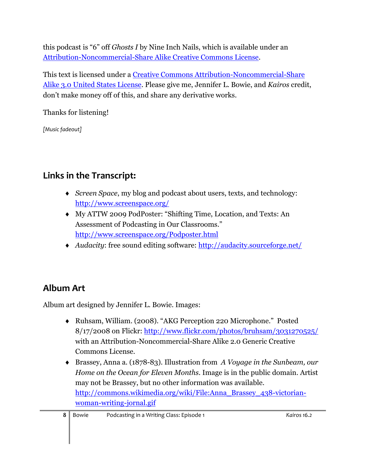this podcast is "6" off *Ghosts I* by Nine Inch Nails, which is available under an [Attribution-Noncommercial-Share Alike Creative Commons License.](http://creativecommons.org/licenses/by-nc-sa/3.0/us/)

This text is licensed under a [Creative Commons Attribution-Noncommercial-Share](file:///C:/Documents%20and%20Settings/HP_Administrator/Local%20Settings/Temp/href=%22http:/creativecommons.org/licenses/by-nc-sa/3.0/us/)  [Alike 3.0 United States License.](file:///C:/Documents%20and%20Settings/HP_Administrator/Local%20Settings/Temp/href=%22http:/creativecommons.org/licenses/by-nc-sa/3.0/us/) Please give me, Jennifer L. Bowie, and *Kairos* credit, don't make money off of this, and share any derivative works.

Thanks for listening!

*[Music fadeout]* 

# **Links in the Transcript:**

- *[Screen Space](http://www.screenspace.org/)*, my blog and podcast about users, texts, and technology: <http://www.screenspace.org/>
- My ATTW 2009 PodPoster: "Shifting Time, Location, and Texts: An Assessment of Podcasting in Our Classrooms." <http://www.screenspace.org/Podposter.html>
- *Audacity*: free sound editing software:<http://audacity.sourceforge.net/>

### **Album Art**

Album art designed by Jennifer L. Bowie. Images:

- Ruhsam, William. (2008). "AKG Perception 220 Microphone." Posted 8/17/2008 on Flickr:<http://www.flickr.com/photos/bruhsam/3031270525/> with an Attribution-Noncommercial-Share Alike 2.0 Generic Creative Commons License.
- Brassey, Anna a. (1878-83). Illustration from *A Voyage in the Sunbeam, our Home on the Ocean for Eleven Months*. Image is in the public domain. Artist may not be Brassey, but no other information was available. [http://commons.wikimedia.org/wiki/File:Anna\\_Brassey\\_438-victorian](http://commons.wikimedia.org/wiki/File:Anna_Brassey_438-victorian-woman-writing-jornal.gif)[woman-writing-jornal.gif](http://commons.wikimedia.org/wiki/File:Anna_Brassey_438-victorian-woman-writing-jornal.gif)